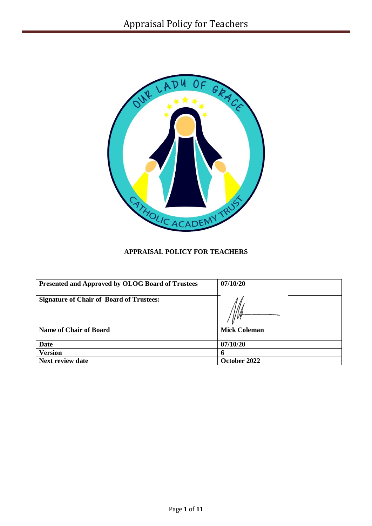

# **APPRAISAL POLICY FOR TEACHERS**

| Presented and Approved by OLOG Board of Trustees | 07/10/20            |
|--------------------------------------------------|---------------------|
| <b>Signature of Chair of Board of Trustees:</b>  |                     |
| <b>Name of Chair of Board</b>                    | <b>Mick Coleman</b> |
| <b>Date</b>                                      | 07/10/20            |
| <b>Version</b>                                   | 6                   |
| <b>Next review date</b>                          | October 2022        |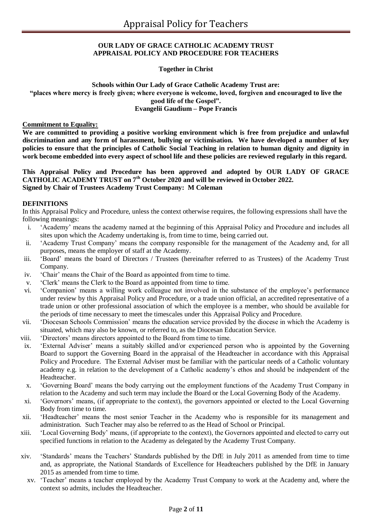#### **OUR LADY OF GRACE CATHOLIC ACADEMY TRUST APPRAISAL POLICY AND PROCEDURE FOR TEACHERS**

### **Together in Christ**

#### **Schools within Our Lady of Grace Catholic Academy Trust are: "places where mercy is freely given; where everyone is welcome, loved, forgiven and encouraged to live the good life of the Gospel". Evangelii Gaudium – Pope Francis**

#### **Commitment to Equality:**

**We are committed to providing a positive working environment which is free from prejudice and unlawful discrimination and any form of harassment, bullying or victimisation. We have developed a number of key policies to ensure that the principles of Catholic Social Teaching in relation to human dignity and dignity in work become embedded into every aspect of school life and these policies are reviewed regularly in this regard.**

### **This Appraisal Policy and Procedure has been approved and adopted by OUR LADY OF GRACE CATHOLIC ACADEMY TRUST on 7th October 2020 and will be reviewed in October 2022. Signed by Chair of Trustees Academy Trust Company: M Coleman**

#### **DEFINITIONS**

In this Appraisal Policy and Procedure, unless the context otherwise requires, the following expressions shall have the following meanings:

- i. 'Academy' means the academy named at the beginning of this Appraisal Policy and Procedure and includes all sites upon which the Academy undertaking is, from time to time, being carried out.
- ii. 'Academy Trust Company' means the company responsible for the management of the Academy and, for all purposes, means the employer of staff at the Academy.
- iii. 'Board' means the board of Directors / Trustees (hereinafter referred to as Trustees) of the Academy Trust Company.
- iv. 'Chair' means the Chair of the Board as appointed from time to time.
- v. 'Clerk' means the Clerk to the Board as appointed from time to time.
- vi. 'Companion' means a willing work colleague not involved in the substance of the employee's performance under review by this Appraisal Policy and Procedure, or a trade union official, an accredited representative of a trade union or other professional association of which the employee is a member, who should be available for the periods of time necessary to meet the timescales under this Appraisal Policy and Procedure.
- vii. 'Diocesan Schools Commission' means the education service provided by the diocese in which the Academy is situated, which may also be known, or referred to, as the Diocesan Education Service.
- viii. 'Directors' means directors appointed to the Board from time to time.
- ix. 'External Adviser' means a suitably skilled and/or experienced person who is appointed by the Governing Board to support the Governing Board in the appraisal of the Headteacher in accordance with this Appraisal Policy and Procedure. The External Adviser must be familiar with the particular needs of a Catholic voluntary academy e.g. in relation to the development of a Catholic academy's ethos and should be independent of the Headteacher.
- x. 'Governing Board' means the body carrying out the employment functions of the Academy Trust Company in relation to the Academy and such term may include the Board or the Local Governing Body of the Academy.
- xi. 'Governors' means, (if appropriate to the context), the governors appointed or elected to the Local Governing Body from time to time.
- xii. 'Headteacher' means the most senior Teacher in the Academy who is responsible for its management and administration. Such Teacher may also be referred to as the Head of School or Principal.
- xiii. 'Local Governing Body' means, (if appropriate to the context), the Governors appointed and elected to carry out specified functions in relation to the Academy as delegated by the Academy Trust Company.
- xiv. 'Standards' means the Teachers' Standards published by the DfE in July 2011 as amended from time to time and, as appropriate, the National Standards of Excellence for Headteachers published by the DfE in January 2015 as amended from time to time.
	- xv. 'Teacher' means a teacher employed by the Academy Trust Company to work at the Academy and, where the context so admits, includes the Headteacher.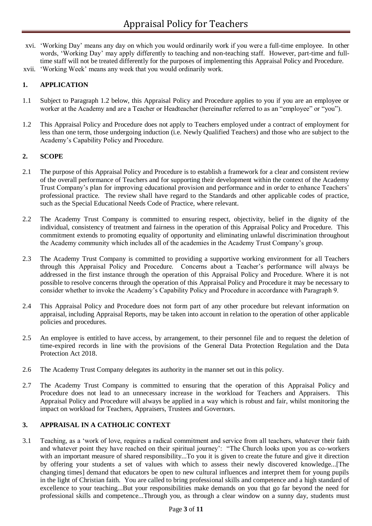- xvi. 'Working Day' means any day on which you would ordinarily work if you were a full-time employee. In other words, 'Working Day' may apply differently to teaching and non-teaching staff. However, part-time and fulltime staff will not be treated differently for the purposes of implementing this Appraisal Policy and Procedure.
- xvii. 'Working Week' means any week that you would ordinarily work.

## **1. APPLICATION**

- 1.1 Subject to Paragraph 1.2 below, this Appraisal Policy and Procedure applies to you if you are an employee or worker at the Academy and are a Teacher or Headteacher (hereinafter referred to as an "employee" or "you").
- 1.2 This Appraisal Policy and Procedure does not apply to Teachers employed under a contract of employment for less than one term, those undergoing induction (i.e. Newly Qualified Teachers) and those who are subject to the Academy's Capability Policy and Procedure.

### **2. SCOPE**

- 2.1 The purpose of this Appraisal Policy and Procedure is to establish a framework for a clear and consistent review of the overall performance of Teachers and for supporting their development within the context of the Academy Trust Company's plan for improving educational provision and performance and in order to enhance Teachers' professional practice. The review shall have regard to the Standards and other applicable codes of practice, such as the Special Educational Needs Code of Practice, where relevant.
- 2.2 The Academy Trust Company is committed to ensuring respect, objectivity, belief in the dignity of the individual, consistency of treatment and fairness in the operation of this Appraisal Policy and Procedure. This commitment extends to promoting equality of opportunity and eliminating unlawful discrimination throughout the Academy community which includes all of the academies in the Academy Trust Company's group.
- 2.3 The Academy Trust Company is committed to providing a supportive working environment for all Teachers through this Appraisal Policy and Procedure. Concerns about a Teacher's performance will always be addressed in the first instance through the operation of this Appraisal Policy and Procedure. Where it is not possible to resolve concerns through the operation of this Appraisal Policy and Procedure it may be necessary to consider whether to invoke the Academy's Capability Policy and Procedure in accordance with Paragraph 9.
- 2.4 This Appraisal Policy and Procedure does not form part of any other procedure but relevant information on appraisal, including Appraisal Reports, may be taken into account in relation to the operation of other applicable policies and procedures.
- 2.5 An employee is entitled to have access, by arrangement, to their personnel file and to request the deletion of time-expired records in line with the provisions of the General Data Protection Regulation and the Data Protection Act 2018.
- 2.6 The Academy Trust Company delegates its authority in the manner set out in this policy.
- 2.7 The Academy Trust Company is committed to ensuring that the operation of this Appraisal Policy and Procedure does not lead to an unnecessary increase in the workload for Teachers and Appraisers. This Appraisal Policy and Procedure will always be applied in a way which is robust and fair, whilst monitoring the impact on workload for Teachers, Appraisers, Trustees and Governors.

## **3. APPRAISAL IN A CATHOLIC CONTEXT**

3.1 Teaching, as a 'work of love, requires a radical commitment and service from all teachers, whatever their faith and whatever point they have reached on their spiritual journey': "The Church looks upon you as co-workers with an important measure of shared responsibility...To you it is given to create the future and give it direction by offering your students a set of values with which to assess their newly discovered knowledge...[The changing times] demand that educators be open to new cultural influences and interpret them for young pupils in the light of Christian faith. You are called to bring professional skills and competence and a high standard of excellence to your teaching...But your responsibilities make demands on you that go far beyond the need for professional skills and competence...Through you, as through a clear window on a sunny day, students must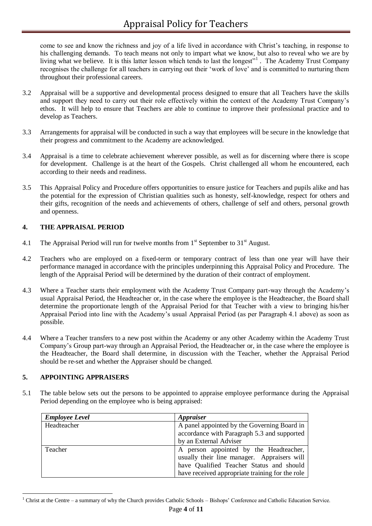come to see and know the richness and joy of a life lived in accordance with Christ's teaching, in response to his challenging demands. To teach means not only to impart what we know, but also to reveal who we are by living what we believe. It is this latter lesson which tends to last the longest"<sup>1</sup>. The Academy Trust Company recognises the challenge for all teachers in carrying out their 'work of love' and is committed to nurturing them throughout their professional careers.

- 3.2 Appraisal will be a supportive and developmental process designed to ensure that all Teachers have the skills and support they need to carry out their role effectively within the context of the Academy Trust Company's ethos. It will help to ensure that Teachers are able to continue to improve their professional practice and to develop as Teachers.
- 3.3 Arrangements for appraisal will be conducted in such a way that employees will be secure in the knowledge that their progress and commitment to the Academy are acknowledged.
- 3.4 Appraisal is a time to celebrate achievement wherever possible, as well as for discerning where there is scope for development. Challenge is at the heart of the Gospels. Christ challenged all whom he encountered, each according to their needs and readiness.
- 3.5 This Appraisal Policy and Procedure offers opportunities to ensure justice for Teachers and pupils alike and has the potential for the expression of Christian qualities such as honesty, self-knowledge, respect for others and their gifts, recognition of the needs and achievements of others, challenge of self and others, personal growth and openness.

## **4. THE APPRAISAL PERIOD**

- 4.1 The Appraisal Period will run for twelve months from  $1<sup>st</sup>$  September to  $31<sup>st</sup>$  August.
- 4.2 Teachers who are employed on a fixed-term or temporary contract of less than one year will have their performance managed in accordance with the principles underpinning this Appraisal Policy and Procedure. The length of the Appraisal Period will be determined by the duration of their contract of employment.
- 4.3 Where a Teacher starts their employment with the Academy Trust Company part-way through the Academy's usual Appraisal Period, the Headteacher or, in the case where the employee is the Headteacher, the Board shall determine the proportionate length of the Appraisal Period for that Teacher with a view to bringing his/her Appraisal Period into line with the Academy's usual Appraisal Period (as per Paragraph 4.1 above) as soon as possible.
- 4.4 Where a Teacher transfers to a new post within the Academy or any other Academy within the Academy Trust Company's Group part-way through an Appraisal Period, the Headteacher or, in the case where the employee is the Headteacher, the Board shall determine, in discussion with the Teacher, whether the Appraisal Period should be re-set and whether the Appraiser should be changed.

## **5. APPOINTING APPRAISERS**

5.1 The table below sets out the persons to be appointed to appraise employee performance during the Appraisal Period depending on the employee who is being appraised:

| <b>Employee Level</b> | <i><b>Appraiser</b></i>                         |
|-----------------------|-------------------------------------------------|
| Headteacher           | A panel appointed by the Governing Board in     |
|                       | accordance with Paragraph 5.3 and supported     |
|                       | by an External Adviser                          |
| Teacher               | A person appointed by the Headteacher,          |
|                       | usually their line manager. Appraisers will     |
|                       | have Qualified Teacher Status and should        |
|                       | have received appropriate training for the role |

<sup>1</sup> <sup>1</sup> Christ at the Centre – a summary of why the Church provides Catholic Schools – Bishops' Conference and Catholic Education Service.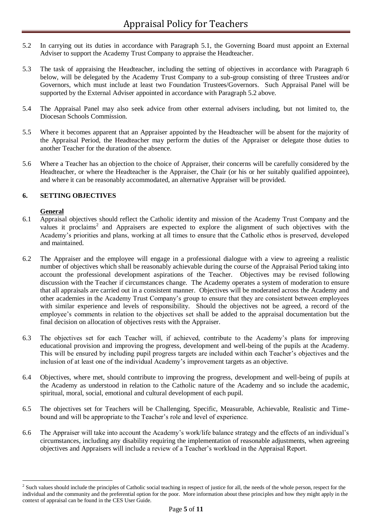- 5.2 In carrying out its duties in accordance with Paragraph 5.1, the Governing Board must appoint an External Adviser to support the Academy Trust Company to appraise the Headteacher.
- 5.3 The task of appraising the Headteacher, including the setting of objectives in accordance with Paragraph 6 below, will be delegated by the Academy Trust Company to a sub-group consisting of three Trustees and/or Governors, which must include at least two Foundation Trustees/Governors. Such Appraisal Panel will be supported by the External Adviser appointed in accordance with Paragraph 5.2 above.
- 5.4 The Appraisal Panel may also seek advice from other external advisers including, but not limited to, the Diocesan Schools Commission.
- 5.5 Where it becomes apparent that an Appraiser appointed by the Headteacher will be absent for the majority of the Appraisal Period, the Headteacher may perform the duties of the Appraiser or delegate those duties to another Teacher for the duration of the absence.
- 5.6 Where a Teacher has an objection to the choice of Appraiser, their concerns will be carefully considered by the Headteacher, or where the Headteacher is the Appraiser, the Chair (or his or her suitably qualified appointee), and where it can be reasonably accommodated, an alternative Appraiser will be provided.

## **6. SETTING OBJECTIVES**

## **General**

1

- 6.1 Appraisal objectives should reflect the Catholic identity and mission of the Academy Trust Company and the values it proclaims<sup>2</sup> and Appraisers are expected to explore the alignment of such objectives with the Academy's priorities and plans, working at all times to ensure that the Catholic ethos is preserved, developed and maintained.
- 6.2 The Appraiser and the employee will engage in a professional dialogue with a view to agreeing a realistic number of objectives which shall be reasonably achievable during the course of the Appraisal Period taking into account the professional development aspirations of the Teacher. Objectives may be revised following discussion with the Teacher if circumstances change. The Academy operates a system of moderation to ensure that all appraisals are carried out in a consistent manner. Objectives will be moderated across the Academy and other academies in the Academy Trust Company's group to ensure that they are consistent between employees with similar experience and levels of responsibility. Should the objectives not be agreed, a record of the employee's comments in relation to the objectives set shall be added to the appraisal documentation but the final decision on allocation of objectives rests with the Appraiser.
- 6.3 The objectives set for each Teacher will, if achieved, contribute to the Academy's plans for improving educational provision and improving the progress, development and well-being of the pupils at the Academy. This will be ensured by including pupil progress targets are included within each Teacher's objectives and the inclusion of at least one of the individual Academy's improvement targets as an objective.
- 6.4 Objectives, where met, should contribute to improving the progress, development and well-being of pupils at the Academy as understood in relation to the Catholic nature of the Academy and so include the academic, spiritual, moral, social, emotional and cultural development of each pupil.
- 6.5 The objectives set for Teachers will be Challenging, Specific, Measurable, Achievable, Realistic and Timebound and will be appropriate to the Teacher's role and level of experience.
- 6.6 The Appraiser will take into account the Academy's work/life balance strategy and the effects of an individual's circumstances, including any disability requiring the implementation of reasonable adjustments, when agreeing objectives and Appraisers will include a review of a Teacher's workload in the Appraisal Report.

 $2^2$  Such values should include the principles of Catholic social teaching in respect of justice for all, the needs of the whole person, respect for the individual and the community and the preferential option for the poor. More information about these principles and how they might apply in the context of appraisal can be found in the CES User Guide.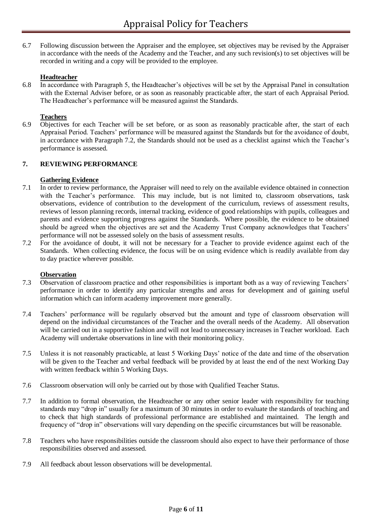6.7 Following discussion between the Appraiser and the employee, set objectives may be revised by the Appraiser in accordance with the needs of the Academy and the Teacher, and any such revision(s) to set objectives will be recorded in writing and a copy will be provided to the employee.

#### **Headteacher**

6.8 In accordance with Paragraph 5, the Headteacher's objectives will be set by the Appraisal Panel in consultation with the External Adviser before, or as soon as reasonably practicable after, the start of each Appraisal Period. The Headteacher's performance will be measured against the Standards.

### **Teachers**

6.9 Objectives for each Teacher will be set before, or as soon as reasonably practicable after, the start of each Appraisal Period. Teachers' performance will be measured against the Standards but for the avoidance of doubt, in accordance with Paragraph 7.2, the Standards should not be used as a checklist against which the Teacher's performance is assessed.

### **7. REVIEWING PERFORMANCE**

### **Gathering Evidence**

- 7.1 In order to review performance, the Appraiser will need to rely on the available evidence obtained in connection with the Teacher's performance. This may include, but is not limited to, classroom observations, task observations, evidence of contribution to the development of the curriculum, reviews of assessment results, reviews of lesson planning records, internal tracking, evidence of good relationships with pupils, colleagues and parents and evidence supporting progress against the Standards. Where possible, the evidence to be obtained should be agreed when the objectives are set and the Academy Trust Company acknowledges that Teachers' performance will not be assessed solely on the basis of assessment results.
- 7.2 For the avoidance of doubt, it will not be necessary for a Teacher to provide evidence against each of the Standards. When collecting evidence, the focus will be on using evidence which is readily available from day to day practice wherever possible.

#### **Observation**

- 7.3 Observation of classroom practice and other responsibilities is important both as a way of reviewing Teachers' performance in order to identify any particular strengths and areas for development and of gaining useful information which can inform academy improvement more generally.
- 7.4 Teachers' performance will be regularly observed but the amount and type of classroom observation will depend on the individual circumstances of the Teacher and the overall needs of the Academy. All observation will be carried out in a supportive fashion and will not lead to unnecessary increases in Teacher workload. Each Academy will undertake observations in line with their monitoring policy.
- 7.5 Unless it is not reasonably practicable, at least 5 Working Days' notice of the date and time of the observation will be given to the Teacher and verbal feedback will be provided by at least the end of the next Working Day with written feedback within 5 Working Days.
- 7.6 Classroom observation will only be carried out by those with Qualified Teacher Status.
- 7.7 In addition to formal observation, the Headteacher or any other senior leader with responsibility for teaching standards may "drop in" usually for a maximum of 30 minutes in order to evaluate the standards of teaching and to check that high standards of professional performance are established and maintained. The length and frequency of "drop in" observations will vary depending on the specific circumstances but will be reasonable.
- 7.8 Teachers who have responsibilities outside the classroom should also expect to have their performance of those responsibilities observed and assessed.
- 7.9 All feedback about lesson observations will be developmental.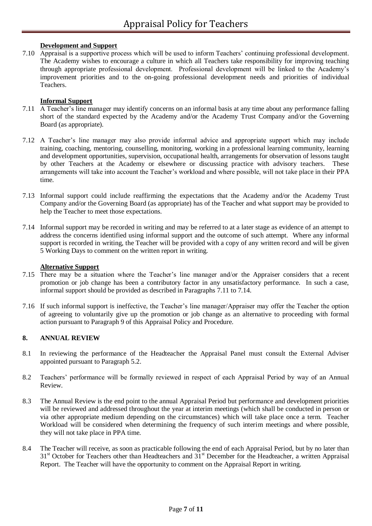## **Development and Support**

7.10 Appraisal is a supportive process which will be used to inform Teachers' continuing professional development. The Academy wishes to encourage a culture in which all Teachers take responsibility for improving teaching through appropriate professional development. Professional development will be linked to the Academy's improvement priorities and to the on-going professional development needs and priorities of individual Teachers.

#### **Informal Support**

- 7.11 A Teacher's line manager may identify concerns on an informal basis at any time about any performance falling short of the standard expected by the Academy and/or the Academy Trust Company and/or the Governing Board (as appropriate).
- 7.12 A Teacher's line manager may also provide informal advice and appropriate support which may include training, coaching, mentoring, counselling, monitoring, working in a professional learning community, learning and development opportunities, supervision, occupational health, arrangements for observation of lessons taught by other Teachers at the Academy or elsewhere or discussing practice with advisory teachers. These arrangements will take into account the Teacher's workload and where possible, will not take place in their PPA time.
- 7.13 Informal support could include reaffirming the expectations that the Academy and/or the Academy Trust Company and/or the Governing Board (as appropriate) has of the Teacher and what support may be provided to help the Teacher to meet those expectations.
- 7.14 Informal support may be recorded in writing and may be referred to at a later stage as evidence of an attempt to address the concerns identified using informal support and the outcome of such attempt. Where any informal support is recorded in writing, the Teacher will be provided with a copy of any written record and will be given 5 Working Days to comment on the written report in writing.

#### **Alternative Support**

- 7.15 There may be a situation where the Teacher's line manager and/or the Appraiser considers that a recent promotion or job change has been a contributory factor in any unsatisfactory performance. In such a case, informal support should be provided as described in Paragraphs 7.11 to 7.14.
- 7.16 If such informal support is ineffective, the Teacher's line manager/Appraiser may offer the Teacher the option of agreeing to voluntarily give up the promotion or job change as an alternative to proceeding with formal action pursuant to Paragraph 9 of this Appraisal Policy and Procedure.

## **8. ANNUAL REVIEW**

- 8.1 In reviewing the performance of the Headteacher the Appraisal Panel must consult the External Adviser appointed pursuant to Paragraph 5.2.
- 8.2 Teachers' performance will be formally reviewed in respect of each Appraisal Period by way of an Annual Review.
- 8.3 The Annual Review is the end point to the annual Appraisal Period but performance and development priorities will be reviewed and addressed throughout the year at interim meetings (which shall be conducted in person or via other appropriate medium depending on the circumstances) which will take place once a term. Teacher Workload will be considered when determining the frequency of such interim meetings and where possible, they will not take place in PPA time.
- 8.4 The Teacher will receive, as soon as practicable following the end of each Appraisal Period, but by no later than 31<sup>st</sup> October for Teachers other than Headteachers and 31<sup>st</sup> December for the Headteacher, a written Appraisal Report. The Teacher will have the opportunity to comment on the Appraisal Report in writing.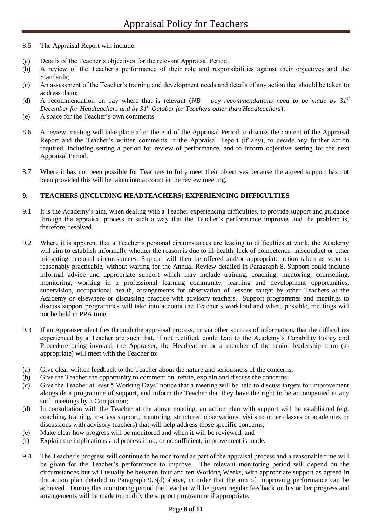- 8.5 The Appraisal Report will include:
- (a) Details of the Teacher's objectives for the relevant Appraisal Period;
- (b) A review of the Teacher's performance of their role and responsibilities against their objectives and the Standards;
- (c) An assessment of the Teacher's training and development needs and details of any action that should be taken to address them;
- (d) A recommendation on pay where that is relevant  $(NB pay$  recommendations need to be made by  $31^{st}$ *December for Headteachers and by 31st October for Teachers other than Headteachers*);
- (e) A space for the Teacher's own comments
- 8.6 A review meeting will take place after the end of the Appraisal Period to discuss the content of the Appraisal Report and the Teacher's written comments in the Appraisal Report (if any), to decide any further action required, including setting a period for review of performance, and to inform objective setting for the next Appraisal Period.
- 8.7 Where it has not been possible for Teachers to fully meet their objectives because the agreed support has not been provided this will be taken into account in the review meeting.

### **9. TEACHERS (INCLUDING HEADTEACHERS) EXPERIENCING DIFFICULTIES**

- 9.1 It is the Academy's aim, when dealing with a Teacher experiencing difficulties, to provide support and guidance through the appraisal process in such a way that the Teacher's performance improves and the problem is, therefore, resolved.
- 9.2 Where it is apparent that a Teacher's personal circumstances are leading to difficulties at work, the Academy will aim to establish informally whether the reason is due to ill-health, lack of competence, misconduct or other mitigating personal circumstances. Support will then be offered and/or appropriate action taken as soon as reasonably practicable, without waiting for the Annual Review detailed in Paragraph 8. Support could include informal advice and appropriate support which may include training, coaching, mentoring, counselling, monitoring, working in a professional learning community, learning and development opportunities, supervision, occupational health, arrangements for observation of lessons taught by other Teachers at the Academy or elsewhere or discussing practice with advisory teachers. Support programmes and meetings to discuss support programmes will take into account the Teacher's workload and where possible, meetings will not be held in PPA time.
- 9.3 If an Appraiser identifies through the appraisal process, or via other sources of information, that the difficulties experienced by a Teacher are such that, if not rectified, could lead to the Academy's Capability Policy and Procedure being invoked, the Appraiser, the Headteacher or a member of the senior leadership team (as appropriate) will meet with the Teacher to:
- (a) Give clear written feedback to the Teacher about the nature and seriousness of the concerns;
- (b) Give the Teacher the opportunity to comment on, refute, explain and discuss the concerns;
- (c) Give the Teacher at least 5 Working Days' notice that a meeting will be held to discuss targets for improvement alongside a programme of support, and inform the Teacher that they have the right to be accompanied at any such meetings by a Companion;
- (d) In consultation with the Teacher at the above meeting, an action plan with support will be established (e.g. coaching, training, in-class support, mentoring, structured observations, visits to other classes or academies or discussions with advisory teachers) that will help address those specific concerns;
- (e) Make clear how progress will be monitored and when it will be reviewed; and
- (f) Explain the implications and process if no, or no sufficient, improvement is made.
- 9.4 The Teacher's progress will continue to be monitored as part of the appraisal process and a reasonable time will be given for the Teacher's performance to improve. The relevant monitoring period will depend on the circumstances but will usually be between four and ten Working Weeks, with appropriate support as agreed in the action plan detailed in Paragraph 9.3(d) above, in order that the aim of improving performance can be achieved. During this monitoring period the Teacher will be given regular feedback on his or her progress and arrangements will be made to modify the support programme if appropriate.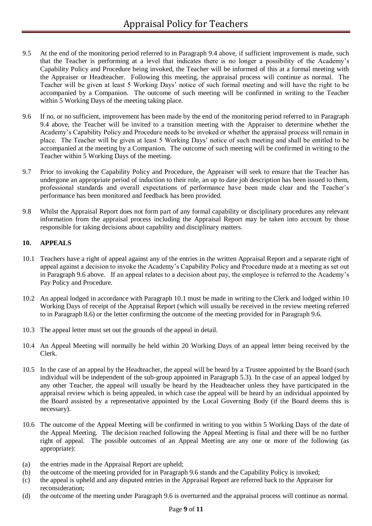- 9.5 At the end of the monitoring period referred to in Paragraph 9.4 above, if sufficient improvement is made, such that the Teacher is performing at a level that indicates there is no longer a possibility of the Academy's Capability Policy and Procedure being invoked, the Teacher will be informed of this at a formal meeting with the Appraiser or Headteacher. Following this meeting, the appraisal process will continue as normal. The Teacher will be given at least 5 Working Days' notice of such formal meeting and will have the right to be accompanied by a Companion. The outcome of such meeting will be confirmed in writing to the Teacher within 5 Working Days of the meeting taking place.
- 9.6 If no, or no sufficient, improvement has been made by the end of the monitoring period referred to in Paragraph 9.4 above, the Teacher will be invited to a transition meeting with the Appraiser to determine whether the Academy's Capability Policy and Procedure needs to be invoked or whether the appraisal process will remain in place. The Teacher will be given at least 5 Working Days' notice of such meeting and shall be entitled to be accompanied at the meeting by a Companion. The outcome of such meeting will be confirmed in writing to the Teacher within 5 Working Days of the meeting.
- 9.7 Prior to invoking the Capability Policy and Procedure, the Appraiser will seek to ensure that the Teacher has undergone an appropriate period of induction to their role, an up to date job description has been issued to them, professional standards and overall expectations of performance have been made clear and the Teacher's performance has been monitored and feedback has been provided.
- 9.8 Whilst the Appraisal Report does not form part of any formal capability or disciplinary procedures any relevant information from the appraisal process including the Appraisal Report may be taken into account by those responsible for taking decisions about capability and disciplinary matters.

## **10. APPEALS**

- 10.1 Teachers have a right of appeal against any of the entries in the written Appraisal Report and a separate right of appeal against a decision to invoke the Academy's Capability Policy and Procedure made at a meeting as set out in Paragraph 9.6 above. If an appeal relates to a decision about pay, the employee is referred to the Academy's Pay Policy and Procedure.
- 10.2 An appeal lodged in accordance with Paragraph 10.1 must be made in writing to the Clerk and lodged within 10 Working Days of receipt of the Appraisal Report (which will usually be received in the review meeting referred to in Paragraph 8.6) or the letter confirming the outcome of the meeting provided for in Paragraph 9.6.
- 10.3 The appeal letter must set out the grounds of the appeal in detail.
- 10.4 An Appeal Meeting will normally be held within 20 Working Days of an appeal letter being received by the Clerk.
- 10.5 In the case of an appeal by the Headteacher, the appeal will be heard by a Trustee appointed by the Board (such individual will be independent of the sub-group appointed in Paragraph 5.3). In the case of an appeal lodged by any other Teacher, the appeal will usually be heard by the Headteacher unless they have participated in the appraisal review which is being appealed, in which case the appeal will be heard by an individual appointed by the Board assisted by a representative appointed by the Local Governing Body (if the Board deems this is necessary).
- 10.6 The outcome of the Appeal Meeting will be confirmed in writing to you within 5 Working Days of the date of the Appeal Meeting. The decision reached following the Appeal Meeting is final and there will be no further right of appeal. The possible outcomes of an Appeal Meeting are any one or more of the following (as appropriate):
- (a) the entries made in the Appraisal Report are upheld;
- (b) the outcome of the meeting provided for in Paragraph 9.6 stands and the Capability Policy is invoked;
- (c) the appeal is upheld and any disputed entries in the Appraisal Report are referred back to the Appraiser for reconsideration;
- (d) the outcome of the meeting under Paragraph 9.6 is overturned and the appraisal process will continue as normal.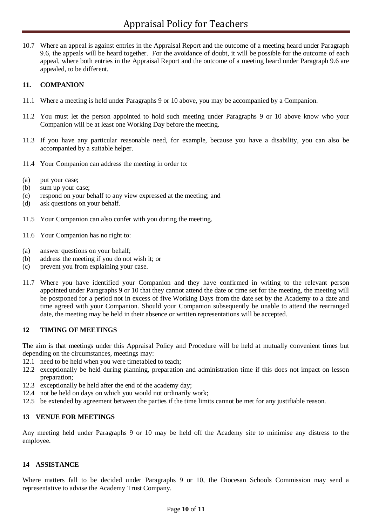10.7 Where an appeal is against entries in the Appraisal Report and the outcome of a meeting heard under Paragraph 9.6, the appeals will be heard together. For the avoidance of doubt, it will be possible for the outcome of each appeal, where both entries in the Appraisal Report and the outcome of a meeting heard under Paragraph 9.6 are appealed, to be different.

## **11. COMPANION**

- 11.1 Where a meeting is held under Paragraphs 9 or 10 above, you may be accompanied by a Companion.
- 11.2 You must let the person appointed to hold such meeting under Paragraphs 9 or 10 above know who your Companion will be at least one Working Day before the meeting.
- 11.3 If you have any particular reasonable need, for example, because you have a disability, you can also be accompanied by a suitable helper.
- 11.4 Your Companion can address the meeting in order to:
- (a) put your case;
- (b) sum up your case;
- (c) respond on your behalf to any view expressed at the meeting; and
- (d) ask questions on your behalf.
- 11.5 Your Companion can also confer with you during the meeting.
- 11.6 Your Companion has no right to:
- (a) answer questions on your behalf;
- (b) address the meeting if you do not wish it; or
- (c) prevent you from explaining your case.
- 11.7 Where you have identified your Companion and they have confirmed in writing to the relevant person appointed under Paragraphs 9 or 10 that they cannot attend the date or time set for the meeting, the meeting will be postponed for a period not in excess of five Working Days from the date set by the Academy to a date and time agreed with your Companion. Should your Companion subsequently be unable to attend the rearranged date, the meeting may be held in their absence or written representations will be accepted.

#### **12 TIMING OF MEETINGS**

The aim is that meetings under this Appraisal Policy and Procedure will be held at mutually convenient times but depending on the circumstances, meetings may:

- 12.1 need to be held when you were timetabled to teach;
- 12.2 exceptionally be held during planning, preparation and administration time if this does not impact on lesson preparation;
- 12.3 exceptionally be held after the end of the academy day;
- 12.4 not be held on days on which you would not ordinarily work;
- 12.5 be extended by agreement between the parties if the time limits cannot be met for any justifiable reason.

#### **13 VENUE FOR MEETINGS**

Any meeting held under Paragraphs 9 or 10 may be held off the Academy site to minimise any distress to the employee.

#### **14 ASSISTANCE**

Where matters fall to be decided under Paragraphs 9 or 10, the Diocesan Schools Commission may send a representative to advise the Academy Trust Company.